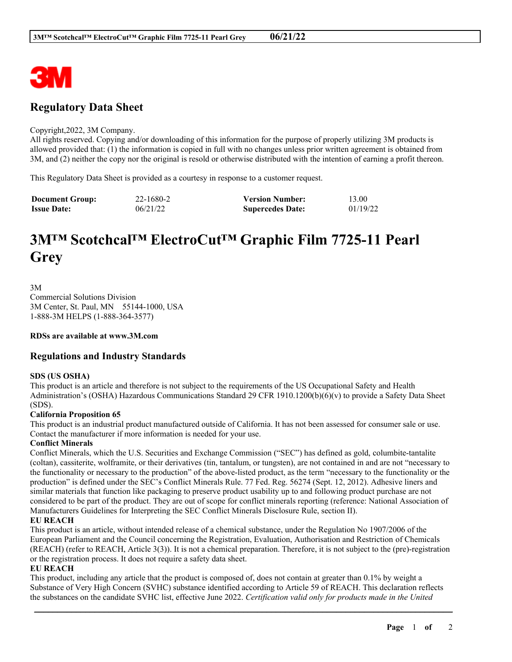

# **Regulatory Data Sheet**

#### Copyright,2022, 3M Company.

All rights reserved. Copying and/or downloading of this information for the purpose of properly utilizing 3M products is allowed provided that: (1) the information is copied in full with no changes unless prior written agreement is obtained from 3M, and (2) neither the copy nor the original is resold or otherwise distributed with the intention of earning a profit thereon.

This Regulatory Data Sheet is provided as a courtesy in response to a customer request.

| <b>Document Group:</b> | 22-1680-2 | <b>Version Number:</b>  | 13.00    |
|------------------------|-----------|-------------------------|----------|
| <b>Issue Date:</b>     | 06/21/22  | <b>Supercedes Date:</b> | 01/19/22 |

# **3M™ Scotchcal™ ElectroCut™ Graphic Film 7725-11 Pearl Grey**

3M Commercial Solutions Division 3M Center, St. Paul, MN 55144-1000, USA 1-888-3M HELPS (1-888-364-3577)

**RDSs are available at www.3M.com**

# **Regulations and Industry Standards**

#### **SDS (US OSHA)**

This product is an article and therefore is not subject to the requirements of the US Occupational Safety and Health Administration's (OSHA) Hazardous Communications Standard 29 CFR 1910.1200(b)(6)(v) to provide a Safety Data Sheet (SDS).

#### **California Proposition 65**

This product is an industrial product manufactured outside of California. It has not been assessed for consumer sale or use. Contact the manufacturer if more information is needed for your use.

#### **Conflict Minerals**

Conflict Minerals, which the U.S. Securities and Exchange Commission ("SEC") has defined as gold, columbite-tantalite (coltan), cassiterite, wolframite, or their derivatives (tin, tantalum, or tungsten), are not contained in and are not "necessary to the functionality or necessary to the production" of the above-listed product, as the term "necessary to the functionality or the production" is defined under the SEC's Conflict Minerals Rule. 77 Fed. Reg. 56274 (Sept. 12, 2012). Adhesive liners and similar materials that function like packaging to preserve product usability up to and following product purchase are not considered to be part of the product. They are out of scope for conflict minerals reporting (reference: National Association of Manufacturers Guidelines for Interpreting the SEC Conflict Minerals Disclosure Rule, section II).

# **EU REACH**

This product is an article, without intended release of a chemical substance, under the Regulation No 1907/2006 of the European Parliament and the Council concerning the Registration, Evaluation, Authorisation and Restriction of Chemicals (REACH) (refer to REACH, Article 3(3)). It is not a chemical preparation. Therefore, it is not subject to the (pre)-registration or the registration process. It does not require a safety data sheet.

# **EU REACH**

This product, including any article that the product is composed of, does not contain at greater than 0.1% by weight a Substance of Very High Concern (SVHC) substance identified according to Article 59 of REACH. This declaration reflects the substances on the candidate SVHC list, effective June 2022. *Certification valid only for products made in the United*

\_\_\_\_\_\_\_\_\_\_\_\_\_\_\_\_\_\_\_\_\_\_\_\_\_\_\_\_\_\_\_\_\_\_\_\_\_\_\_\_\_\_\_\_\_\_\_\_\_\_\_\_\_\_\_\_\_\_\_\_\_\_\_\_\_\_\_\_\_\_\_\_\_\_\_\_\_\_\_\_\_\_\_\_\_\_\_\_\_\_